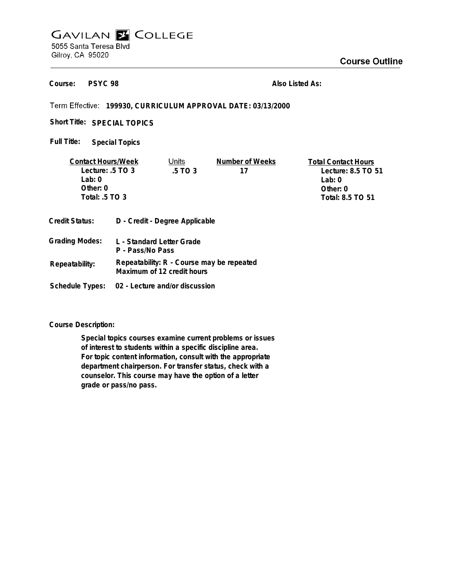## **GAVILAN E COLLEGE** 5055 Santa Teresa Blvd Gilroy, CA 95020

**PSYC 98 Course:**

**Also Listed As:**

## **199930, CURRICULUM APPROVAL DATE: 03/13/2000**

Short Title: SPECIAL TOPICS

**Special Topics Full Title:**

| <b>Contact Hours/Week</b>   |  | Units                          | Number of Weeks | <b>Total Contact Hours</b> |
|-----------------------------|--|--------------------------------|-----------------|----------------------------|
| Lecture: $.5 \text{ TO } 3$ |  | .5 TO 3                        | 17              | Lecture: 8.5 TO 51         |
| Lab: 0                      |  |                                |                 | Lab: $0$                   |
| Other: $0$                  |  |                                |                 | Other: $0$                 |
| Total: .5 TO 3              |  |                                |                 | Total: 8.5 TO 51           |
| Credit Status:              |  | D - Credit - Degree Applicable |                 |                            |
| Grading Modes:              |  | L - Standard Letter Grade      |                 |                            |

|                | P - Pass/No Pass                                                        |
|----------------|-------------------------------------------------------------------------|
| Repeatability: | Repeatability: R - Course may be repeated<br>Maximum of 12 credit hours |

**Schedule Types: 02 - Lecture and/or discussion**

**Course Description:**

**Special topics courses examine current problems or issues of interest to students within a specific discipline area. For topic content information, consult with the appropriate department chairperson. For transfer status, check with a counselor. This course may have the option of a letter grade or pass/no pass.**